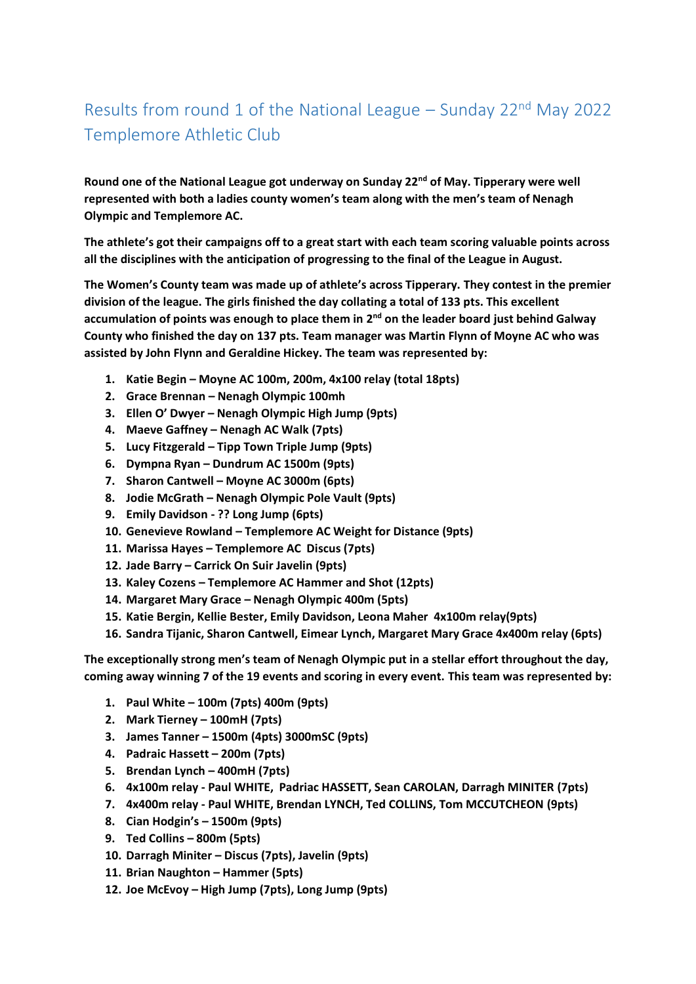## Results from round 1 of the National League – Sunday 22<sup>nd</sup> May 2022 Templemore Athletic Club

**Round one of the National League got underway on Sunday 22nd of May. Tipperary were well represented with both a ladies county women's team along with the men's team of Nenagh Olympic and Templemore AC.**

**The athlete's got their campaigns off to a great start with each team scoring valuable points across all the disciplines with the anticipation of progressing to the final of the League in August.** 

**The Women's County team was made up of athlete's across Tipperary. They contest in the premier division of the league. The girls finished the day collating a total of 133 pts. This excellent**  accumulation of points was enough to place them in 2<sup>nd</sup> on the leader board just behind Galway **County who finished the day on 137 pts. Team manager was Martin Flynn of Moyne AC who was assisted by John Flynn and Geraldine Hickey. The team was represented by:**

- **1. Katie Begin – Moyne AC 100m, 200m, 4x100 relay (total 18pts)**
- **2. Grace Brennan – Nenagh Olympic 100mh**
- **3. Ellen O' Dwyer – Nenagh Olympic High Jump (9pts)**
- **4. Maeve Gaffney – Nenagh AC Walk (7pts)**
- **5. Lucy Fitzgerald – Tipp Town Triple Jump (9pts)**
- **6. Dympna Ryan – Dundrum AC 1500m (9pts)**
- **7. Sharon Cantwell – Moyne AC 3000m (6pts)**
- **8. Jodie McGrath – Nenagh Olympic Pole Vault (9pts)**
- **9. Emily Davidson - ?? Long Jump (6pts)**
- **10. Genevieve Rowland – Templemore AC Weight for Distance (9pts)**
- **11. Marissa Hayes – Templemore AC Discus (7pts)**
- **12. Jade Barry – Carrick On Suir Javelin (9pts)**
- **13. Kaley Cozens – Templemore AC Hammer and Shot (12pts)**
- **14. Margaret Mary Grace – Nenagh Olympic 400m (5pts)**
- **15. Katie Bergin, Kellie Bester, Emily Davidson, Leona Maher 4x100m relay(9pts)**
- **16. Sandra Tijanic, Sharon Cantwell, Eimear Lynch, Margaret Mary Grace 4x400m relay (6pts)**

**The exceptionally strong men's team of Nenagh Olympic put in a stellar effort throughout the day, coming away winning 7 of the 19 events and scoring in every event. This team was represented by:** 

- **1. Paul White – 100m (7pts) 400m (9pts)**
- **2. Mark Tierney – 100mH (7pts)**
- **3. James Tanner – 1500m (4pts) 3000mSC (9pts)**
- **4. Padraic Hassett – 200m (7pts)**
- **5. Brendan Lynch – 400mH (7pts)**
- **6. 4x100m relay - Paul WHITE, Padriac HASSETT, Sean CAROLAN, Darragh MINITER (7pts)**
- **7. 4x400m relay - Paul WHITE, Brendan LYNCH, Ted COLLINS, Tom MCCUTCHEON (9pts)**
- **8. Cian Hodgin's – 1500m (9pts)**
- **9. Ted Collins – 800m (5pts)**
- **10. Darragh Miniter – Discus (7pts), Javelin (9pts)**
- **11. Brian Naughton – Hammer (5pts)**
- **12. Joe McEvoy – High Jump (7pts), Long Jump (9pts)**